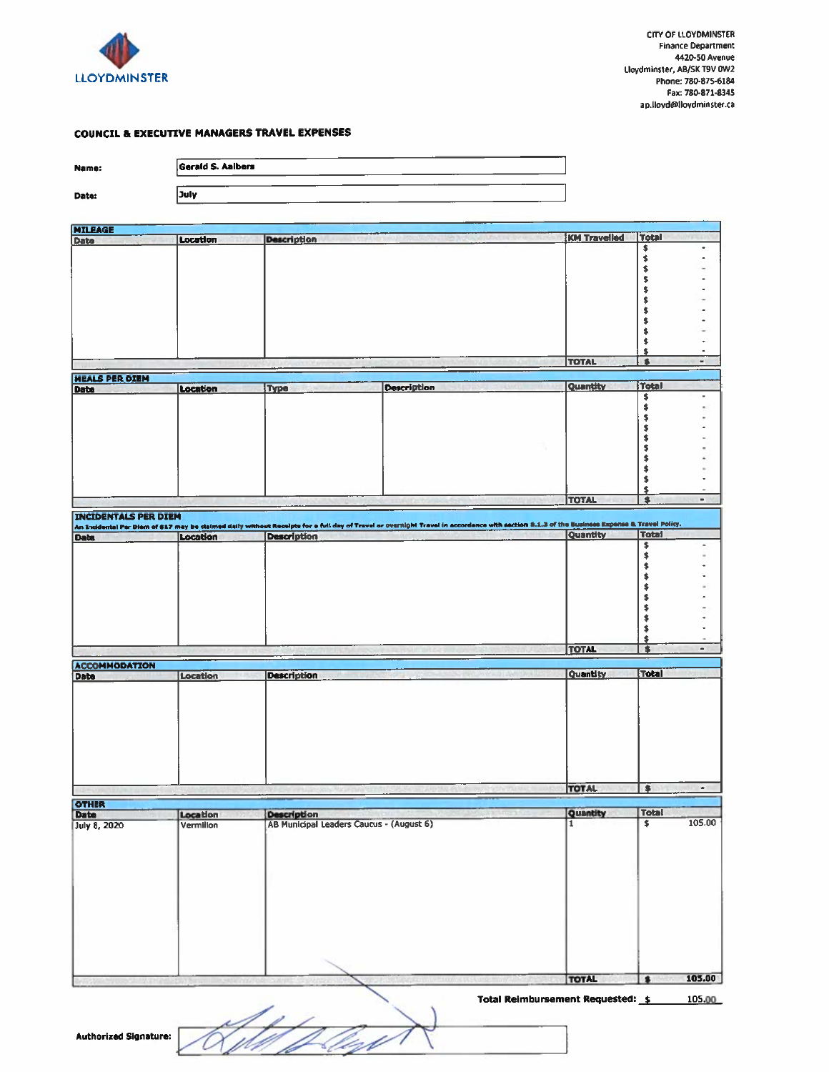

## **COUNCIL & EXECUTIVE MANAGERS TRAVEL EXPENSES**

| Name:                       | <b>Gerald S. Aalbers</b> |                                          |                                                                                                                                                                                                                                    |                     |                                |
|-----------------------------|--------------------------|------------------------------------------|------------------------------------------------------------------------------------------------------------------------------------------------------------------------------------------------------------------------------------|---------------------|--------------------------------|
| Date:                       | July                     |                                          |                                                                                                                                                                                                                                    |                     |                                |
|                             |                          |                                          |                                                                                                                                                                                                                                    |                     |                                |
| <b>MILEAGE</b>              | Location                 |                                          |                                                                                                                                                                                                                                    | <b>KM Travelled</b> | <b>Total</b>                   |
| Date                        |                          | <b>Description</b>                       |                                                                                                                                                                                                                                    |                     | \$                             |
|                             |                          |                                          |                                                                                                                                                                                                                                    |                     | \$                             |
|                             |                          |                                          |                                                                                                                                                                                                                                    |                     | \$                             |
|                             |                          |                                          |                                                                                                                                                                                                                                    |                     | \$<br>\$                       |
|                             |                          |                                          |                                                                                                                                                                                                                                    |                     | \$                             |
|                             |                          |                                          |                                                                                                                                                                                                                                    |                     | \$                             |
|                             |                          |                                          |                                                                                                                                                                                                                                    |                     | \$                             |
|                             |                          |                                          |                                                                                                                                                                                                                                    |                     | \$                             |
|                             |                          |                                          |                                                                                                                                                                                                                                    |                     | \$<br>٠                        |
|                             |                          |                                          |                                                                                                                                                                                                                                    | <b>TOTAL</b>        | \$<br>\$<br>$\blacksquare$     |
|                             |                          |                                          |                                                                                                                                                                                                                                    |                     |                                |
| <b>MEALS PER DIEM</b>       |                          |                                          | <b>Description</b>                                                                                                                                                                                                                 | Quantity            | Total                          |
| Date                        | Location                 | <b>Type</b>                              |                                                                                                                                                                                                                                    |                     | \$                             |
|                             |                          |                                          |                                                                                                                                                                                                                                    |                     | \$                             |
|                             |                          |                                          |                                                                                                                                                                                                                                    |                     | \$                             |
|                             |                          |                                          |                                                                                                                                                                                                                                    |                     | \$\$                           |
|                             |                          |                                          |                                                                                                                                                                                                                                    |                     | \$                             |
|                             |                          |                                          |                                                                                                                                                                                                                                    |                     | \$                             |
|                             |                          |                                          |                                                                                                                                                                                                                                    |                     | $\blacklozenge$                |
|                             |                          |                                          |                                                                                                                                                                                                                                    |                     | \$                             |
|                             |                          |                                          |                                                                                                                                                                                                                                    |                     | \$                             |
|                             |                          |                                          |                                                                                                                                                                                                                                    | <b>TOTAL</b>        | $\bullet$<br>$\blacksquare$    |
| <b>INCIDENTALS PER DIEM</b> |                          |                                          |                                                                                                                                                                                                                                    |                     |                                |
|                             |                          |                                          | An Incidental Per Diem of \$17 may be claimed daily without Receipts for a full day of Travel or overnight Travel in accordance with section 8.1.3 of the Eusiness Expense & Travel Policy.<br>Daba   Location   Description   Des |                     |                                |
|                             |                          |                                          |                                                                                                                                                                                                                                    |                     | \$<br>۰                        |
|                             |                          |                                          |                                                                                                                                                                                                                                    |                     | \$                             |
|                             |                          |                                          |                                                                                                                                                                                                                                    |                     | $\pmb{\ast}$                   |
|                             |                          |                                          |                                                                                                                                                                                                                                    |                     | \$                             |
|                             |                          |                                          |                                                                                                                                                                                                                                    |                     | $\blacklozenge$                |
|                             |                          |                                          |                                                                                                                                                                                                                                    |                     | \$                             |
|                             |                          |                                          |                                                                                                                                                                                                                                    |                     | \$<br>\$                       |
|                             |                          |                                          |                                                                                                                                                                                                                                    |                     | \$                             |
|                             |                          |                                          |                                                                                                                                                                                                                                    |                     | \$                             |
|                             |                          |                                          |                                                                                                                                                                                                                                    | <b>TOTAL</b>        | \$<br>$\blacksquare$           |
| <b>ACCOMMODATION</b>        |                          |                                          |                                                                                                                                                                                                                                    |                     |                                |
| Date                        | Location                 | <b>Description</b>                       |                                                                                                                                                                                                                                    | <b>Quantity</b>     | <b>Total</b>                   |
|                             |                          |                                          |                                                                                                                                                                                                                                    |                     |                                |
|                             |                          |                                          |                                                                                                                                                                                                                                    |                     |                                |
|                             |                          |                                          |                                                                                                                                                                                                                                    |                     |                                |
|                             |                          |                                          |                                                                                                                                                                                                                                    |                     |                                |
|                             |                          |                                          |                                                                                                                                                                                                                                    |                     |                                |
|                             |                          |                                          |                                                                                                                                                                                                                                    |                     |                                |
|                             |                          |                                          |                                                                                                                                                                                                                                    |                     |                                |
|                             |                          |                                          |                                                                                                                                                                                                                                    |                     |                                |
|                             |                          |                                          |                                                                                                                                                                                                                                    | <b>TOTAL</b>        | \$<br>$\bullet$                |
|                             |                          |                                          |                                                                                                                                                                                                                                    |                     |                                |
| <b>OTHER</b><br>Date        | Location                 | <b>Description</b>                       |                                                                                                                                                                                                                                    | Quantity            | <b>Total</b>                   |
| July 8, 2020                | Vermillon                | AB Municipal Leaders Caucus - (August 6) |                                                                                                                                                                                                                                    | $\overline{1}$      | 105.00<br>$\overline{\bullet}$ |
|                             |                          |                                          |                                                                                                                                                                                                                                    |                     |                                |
|                             |                          |                                          |                                                                                                                                                                                                                                    |                     |                                |
|                             |                          |                                          |                                                                                                                                                                                                                                    |                     |                                |
|                             |                          |                                          |                                                                                                                                                                                                                                    |                     |                                |
|                             |                          |                                          |                                                                                                                                                                                                                                    |                     |                                |
|                             |                          |                                          |                                                                                                                                                                                                                                    |                     |                                |
|                             |                          |                                          |                                                                                                                                                                                                                                    |                     |                                |
|                             |                          |                                          |                                                                                                                                                                                                                                    |                     |                                |
|                             |                          |                                          |                                                                                                                                                                                                                                    |                     |                                |
|                             |                          |                                          |                                                                                                                                                                                                                                    |                     |                                |
|                             |                          |                                          |                                                                                                                                                                                                                                    |                     |                                |
|                             |                          |                                          |                                                                                                                                                                                                                                    |                     |                                |
|                             |                          |                                          |                                                                                                                                                                                                                                    | <b>TOTAL</b>        | 105.00<br>$\bullet$            |
|                             |                          |                                          |                                                                                                                                                                                                                                    |                     |                                |

Total Reimbursement Requested: \$ 105.00

)<br>UD Pro .<br>U